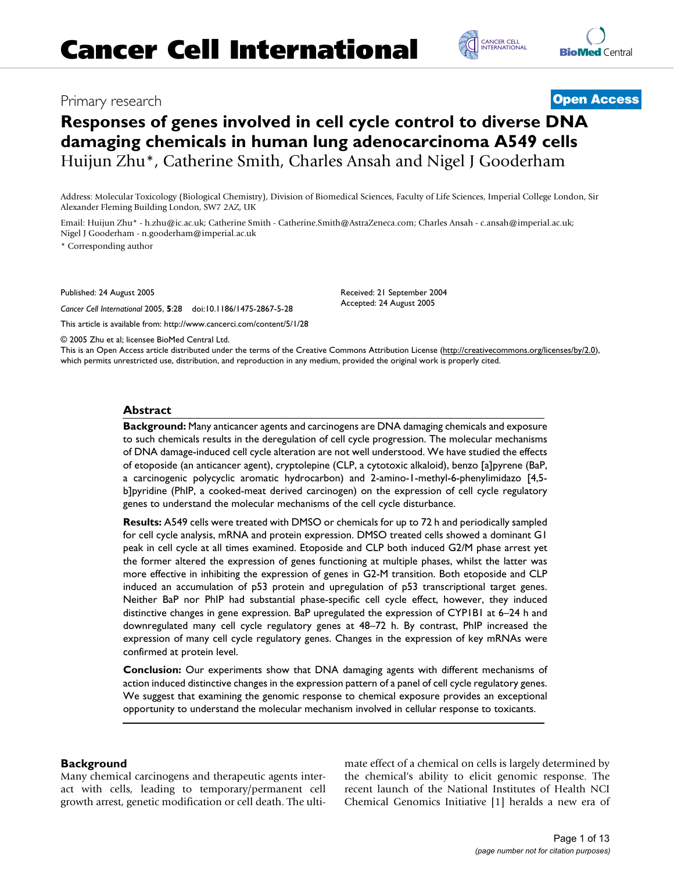# Primary research **[Open Access](http://www.biomedcentral.com/info/about/charter/)**

# **Responses of genes involved in cell cycle control to diverse DNA damaging chemicals in human lung adenocarcinoma A549 cells** Huijun Zhu\*, Catherine Smith, Charles Ansah and Nigel J Gooderham

Address: Molecular Toxicology (Biological Chemistry), Division of Biomedical Sciences, Faculty of Life Sciences, Imperial College London, Sir Alexander Fleming Building London, SW7 2AZ, UK

Email: Huijun Zhu\* - h.zhu@ic.ac.uk; Catherine Smith - Catherine.Smith@AstraZeneca.com; Charles Ansah - c.ansah@imperial.ac.uk; Nigel J Gooderham - n.gooderham@imperial.ac.uk

\* Corresponding author

Published: 24 August 2005

*Cancer Cell International* 2005, **5**:28 doi:10.1186/1475-2867-5-28

[This article is available from: http://www.cancerci.com/content/5/1/28](http://www.cancerci.com/content/5/1/28)

© 2005 Zhu et al; licensee BioMed Central Ltd.

This is an Open Access article distributed under the terms of the Creative Commons Attribution License [\(http://creativecommons.org/licenses/by/2.0\)](http://creativecommons.org/licenses/by/2.0), which permits unrestricted use, distribution, and reproduction in any medium, provided the original work is properly cited.

Received: 21 September 2004 Accepted: 24 August 2005

### **Abstract**

**Background:** Many anticancer agents and carcinogens are DNA damaging chemicals and exposure to such chemicals results in the deregulation of cell cycle progression. The molecular mechanisms of DNA damage-induced cell cycle alteration are not well understood. We have studied the effects of etoposide (an anticancer agent), cryptolepine (CLP, a cytotoxic alkaloid), benzo [a]pyrene (BaP, a carcinogenic polycyclic aromatic hydrocarbon) and 2-amino-1-methyl-6-phenylimidazo [4,5 b]pyridine (PhIP, a cooked-meat derived carcinogen) on the expression of cell cycle regulatory genes to understand the molecular mechanisms of the cell cycle disturbance.

**Results:** A549 cells were treated with DMSO or chemicals for up to 72 h and periodically sampled for cell cycle analysis, mRNA and protein expression. DMSO treated cells showed a dominant G1 peak in cell cycle at all times examined. Etoposide and CLP both induced G2/M phase arrest yet the former altered the expression of genes functioning at multiple phases, whilst the latter was more effective in inhibiting the expression of genes in G2-M transition. Both etoposide and CLP induced an accumulation of p53 protein and upregulation of p53 transcriptional target genes. Neither BaP nor PhIP had substantial phase-specific cell cycle effect, however, they induced distinctive changes in gene expression. BaP upregulated the expression of CYP1B1 at 6–24 h and downregulated many cell cycle regulatory genes at 48–72 h. By contrast, PhIP increased the expression of many cell cycle regulatory genes. Changes in the expression of key mRNAs were confirmed at protein level.

**Conclusion:** Our experiments show that DNA damaging agents with different mechanisms of action induced distinctive changes in the expression pattern of a panel of cell cycle regulatory genes. We suggest that examining the genomic response to chemical exposure provides an exceptional opportunity to understand the molecular mechanism involved in cellular response to toxicants.

### **Background**

Many chemical carcinogens and therapeutic agents interact with cells, leading to temporary/permanent cell growth arrest, genetic modification or cell death. The ultimate effect of a chemical on cells is largely determined by the chemical's ability to elicit genomic response. The recent launch of the National Institutes of Health NCI Chemical Genomics Initiative [1] heralds a new era of

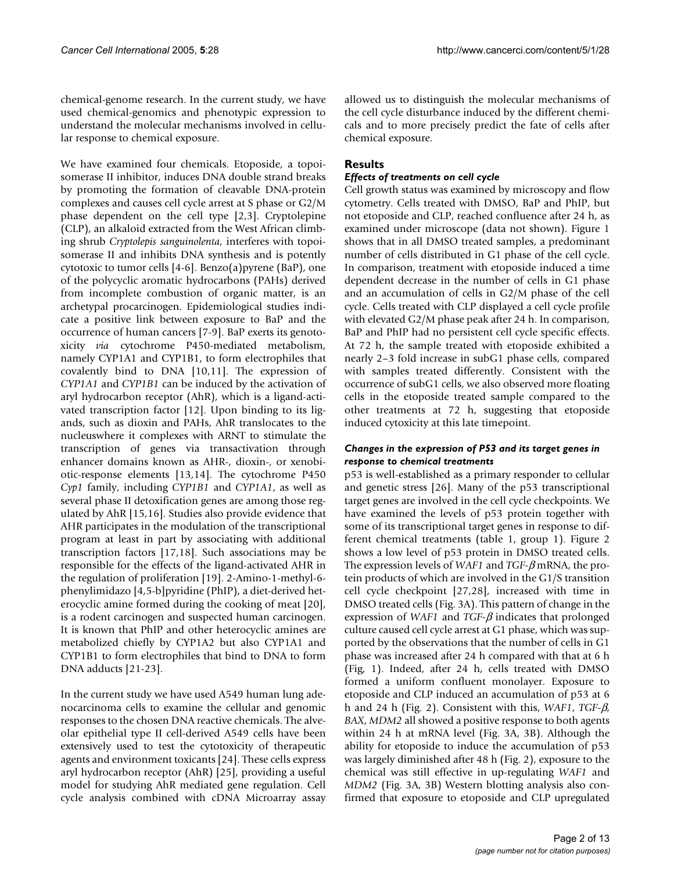chemical-genome research. In the current study, we have used chemical-genomics and phenotypic expression to understand the molecular mechanisms involved in cellular response to chemical exposure.

We have examined four chemicals. Etoposide, a topoisomerase II inhibitor, induces DNA double strand breaks by promoting the formation of cleavable DNA-protein complexes and causes cell cycle arrest at S phase or G2/M phase dependent on the cell type [2,3]. Cryptolepine (CLP), an alkaloid extracted from the West African climbing shrub *Cryptolepis sanguinolenta*, interferes with topoisomerase II and inhibits DNA synthesis and is potently cytotoxic to tumor cells [4-6]. Benzo(a)pyrene (BaP), one of the polycyclic aromatic hydrocarbons (PAHs) derived from incomplete combustion of organic matter, is an archetypal procarcinogen. Epidemiological studies indicate a positive link between exposure to BaP and the occurrence of human cancers [7-9]. BaP exerts its genotoxicity *via* cytochrome P450-mediated metabolism, namely CYP1A1 and CYP1B1, to form electrophiles that covalently bind to DNA [10,11]. The expression of *CYP1A1* and *CYP1B1* can be induced by the activation of aryl hydrocarbon receptor (AhR), which is a ligand-activated transcription factor [12]. Upon binding to its ligands, such as dioxin and PAHs, AhR translocates to the nucleuswhere it complexes with ARNT to stimulate the transcription of genes via transactivation through enhancer domains known as AHR-, dioxin-, or xenobiotic-response elements [13,14]. The cytochrome P450 *Cyp1* family, including *CYP1B1* and *CYP1A1*, as well as several phase II detoxification genes are among those regulated by AhR [15,16]. Studies also provide evidence that AHR participates in the modulation of the transcriptional program at least in part by associating with additional transcription factors [17,18]. Such associations may be responsible for the effects of the ligand-activated AHR in the regulation of proliferation [19]. 2-Amino-1-methyl-6 phenylimidazo [4,5-b]pyridine (PhIP), a diet-derived heterocyclic amine formed during the cooking of meat [20], is a rodent carcinogen and suspected human carcinogen. It is known that PhIP and other heterocyclic amines are metabolized chiefly by CYP1A2 but also CYP1A1 and CYP1B1 to form electrophiles that bind to DNA to form DNA adducts [21-23].

In the current study we have used A549 human lung adenocarcinoma cells to examine the cellular and genomic responses to the chosen DNA reactive chemicals. The alveolar epithelial type II cell-derived A549 cells have been extensively used to test the cytotoxicity of therapeutic agents and environment toxicants [24]. These cells express aryl hydrocarbon receptor (AhR) [25], providing a useful model for studying AhR mediated gene regulation. Cell cycle analysis combined with cDNA Microarray assay allowed us to distinguish the molecular mechanisms of the cell cycle disturbance induced by the different chemicals and to more precisely predict the fate of cells after chemical exposure.

## **Results**

### *Effects of treatments on cell cycle*

Cell growth status was examined by microscopy and flow cytometry. Cells treated with DMSO, BaP and PhIP, but not etoposide and CLP, reached confluence after 24 h, as examined under microscope (data not shown). Figure [1](#page-2-0) shows that in all DMSO treated samples, a predominant number of cells distributed in G1 phase of the cell cycle. In comparison, treatment with etoposide induced a time dependent decrease in the number of cells in G1 phase and an accumulation of cells in G2/M phase of the cell cycle. Cells treated with CLP displayed a cell cycle profile with elevated G2/M phase peak after 24 h. In comparison, BaP and PhIP had no persistent cell cycle specific effects. At 72 h, the sample treated with etoposide exhibited a nearly 2–3 fold increase in subG1 phase cells, compared with samples treated differently. Consistent with the occurrence of subG1 cells, we also observed more floating cells in the etoposide treated sample compared to the other treatments at 72 h, suggesting that etoposide induced cytoxicity at this late timepoint.

### *Changes in the expression of P53 and its target genes in response to chemical treatments*

p53 is well-established as a primary responder to cellular and genetic stress [26]. Many of the p53 transcriptional target genes are involved in the cell cycle checkpoints. We have examined the levels of p53 protein together with some of its transcriptional target genes in response to different chemical treatments (table [1,](#page-3-0) group 1). Figure 2 shows a low level of p53 protein in DMSO treated cells. The expression levels of *WAF1* and *TGF-*β mRNA, the protein products of which are involved in the G1/S transition cell cycle checkpoint [27,28], increased with time in DMSO treated cells (Fig. 3A). This pattern of change in the expression of *WAF1* and *TGF-*β indicates that prolonged culture caused cell cycle arrest at G1 phase, which was supported by the observations that the number of cells in G1 phase was increased after 24 h compared with that at 6 h (Fig, [1](#page-2-0)). Indeed, after 24 h, cells treated with DMSO formed a uniform confluent monolayer. Exposure to etoposide and CLP induced an accumulation of p53 at 6 h and 24 h (Fig. 2). Consistent with this, *WAF1*, *TGF-*β, *BAX*, *MDM2* all showed a positive response to both agents within 24 h at mRNA level (Fig. 3A, 3B). Although the ability for etoposide to induce the accumulation of p53 was largely diminished after 48 h (Fig. 2), exposure to the chemical was still effective in up-regulating *WAF1* and *MDM2* (Fig. 3A, 3B) Western blotting analysis also confirmed that exposure to etoposide and CLP upregulated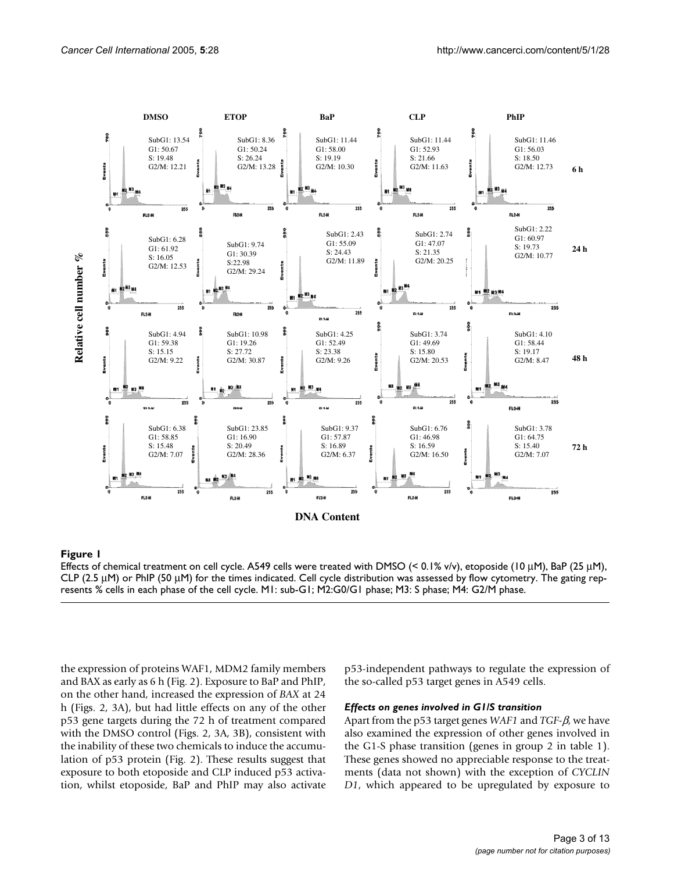<span id="page-2-0"></span>

### **Figure 1**

Effects of chemical treatment on cell cycle. A549 cells were treated with DMSO (< 0.1% v/v), etoposide (10  $\mu$ M), BaP (25  $\mu$ M), CLP (2.5  $\mu$ M) or PhIP (50  $\mu$ M) for the times indicated. Cell cycle distribution was assessed by flow cytometry. The gating represents % cells in each phase of the cell cycle. M1: sub-G1; M2:G0/G1 phase; M3: S phase; M4: G2/M phase.

the expression of proteins WAF1, MDM2 family members and BAX as early as 6 h (Fig. 2). Exposure to BaP and PhIP, on the other hand, increased the expression of *BAX* at 24 h (Figs. 2, 3A), but had little effects on any of the other p53 gene targets during the 72 h of treatment compared with the DMSO control (Figs. 2, 3A, 3B), consistent with the inability of these two chemicals to induce the accumulation of p53 protein (Fig. 2). These results suggest that exposure to both etoposide and CLP induced p53 activation, whilst etoposide, BaP and PhIP may also activate p53-independent pathways to regulate the expression of the so-called p53 target genes in A549 cells.

### *Effects on genes involved in G1/S transition*

Apart from the p53 target genes *WAF1* and *TGF-*β, we have also examined the expression of other genes involved in the G1-S phase transition (genes in group 2 in table [1\)](#page-3-0). These genes showed no appreciable response to the treatments (data not shown) with the exception of *CYCLIN D1*, which appeared to be upregulated by exposure to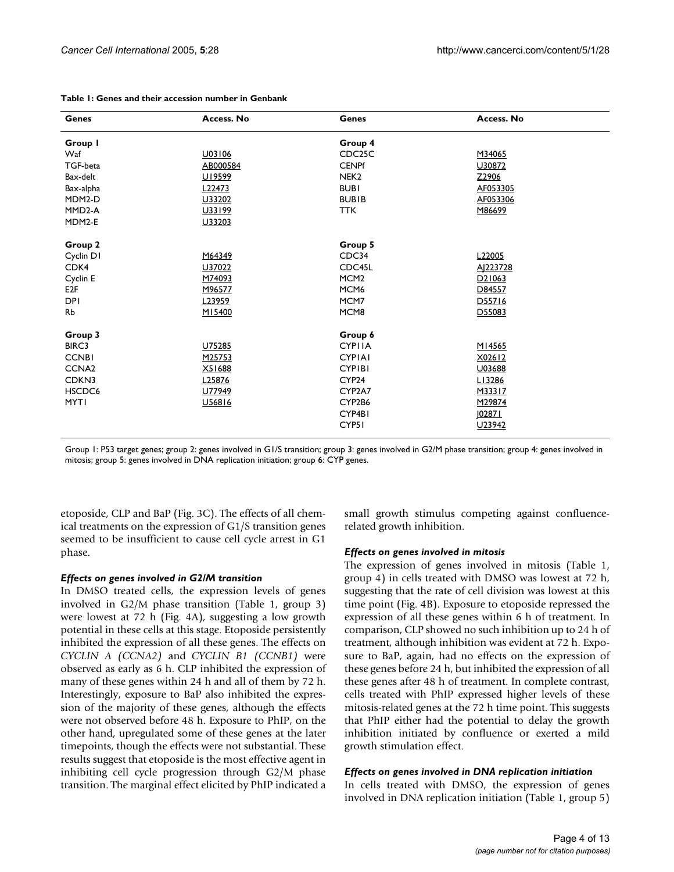| <b>Genes</b>        | Access. No         | <b>Genes</b>        | Access. No          |
|---------------------|--------------------|---------------------|---------------------|
| Group I             |                    | Group 4             |                     |
| Waf                 | U03106             | CDC <sub>25</sub> C | M34065              |
| TGF-beta            | AB000584           | <b>CENPf</b>        | U30872              |
| Bax-delt            | U19599             | NEK <sub>2</sub>    | Z2906               |
| Bax-alpha           | L22473             | <b>BUBI</b>         | AF053305            |
| MDM2-D              | U33202             | <b>BUBIB</b>        | AF053306            |
| MMD <sub>2</sub> -A | U33199             | <b>TTK</b>          | M86699              |
| MDM2-E              | U33203             |                     |                     |
| Group 2             |                    | Group 5             |                     |
| Cyclin D1           | M64349             | CDC34               | L22005              |
| CDK4                | U37022             | CDC45L              | AJ223728            |
| Cyclin E            | M74093             | MCM <sub>2</sub>    | D <sub>2</sub> 1063 |
| E2F                 | M96577             | MCM <sub>6</sub>    | D84557              |
| <b>DPI</b>          | L <sub>23959</sub> | MCM7                | D55716              |
| Rb                  | M15400             | MCM8                | D55083              |
| Group 3             |                    | Group 6             |                     |
| BIRC3               | U75285             | <b>CYPIIA</b>       | M14565              |
| <b>CCNBI</b>        | M25753             | <b>CYPIAI</b>       | X02612              |
| CCNA <sub>2</sub>   | X51688             | <b>CYPIBI</b>       | U03688              |
| CDKN3               | L25876             | CYP <sub>24</sub>   | LI3286              |
| HSCDC6              | U77949             | CYP2A7              | M33317              |
| <b>MYTI</b>         | U56816             | CYP2B6              | M29874              |
|                     |                    | CYP4BI              | 102871              |
|                     |                    | CYP <sub>5</sub> 1  | U23942              |

### <span id="page-3-0"></span>**Table 1: Genes and their accession number in Genbank**

Group 1: P53 target genes; group 2: genes involved in G1/S transition; group 3: genes involved in G2/M phase transition; group 4: genes involved in mitosis; group 5: genes involved in DNA replication initiation; group 6: CYP genes.

etoposide, CLP and BaP (Fig. 3C). The effects of all chemical treatments on the expression of G1/S transition genes seemed to be insufficient to cause cell cycle arrest in G1 phase.

### *Effects on genes involved in G2/M transition*

In DMSO treated cells, the expression levels of genes involved in G2/M phase transition (Table [1](#page-3-0), group 3) were lowest at 72 h (Fig. [4](#page-6-0)A), suggesting a low growth potential in these cells at this stage. Etoposide persistently inhibited the expression of all these genes. The effects on *CYCLIN A (CCNA2)* and *CYCLIN B1 (CCNB1)* were observed as early as 6 h. CLP inhibited the expression of many of these genes within 24 h and all of them by 72 h. Interestingly, exposure to BaP also inhibited the expression of the majority of these genes, although the effects were not observed before 48 h. Exposure to PhIP, on the other hand, upregulated some of these genes at the later timepoints, though the effects were not substantial. These results suggest that etoposide is the most effective agent in inhibiting cell cycle progression through G2/M phase transition. The marginal effect elicited by PhIP indicated a small growth stimulus competing against confluencerelated growth inhibition.

### *Effects on genes involved in mitosis*

The expression of genes involved in mitosis (Table [1,](#page-3-0) group 4) in cells treated with DMSO was lowest at 72 h, suggesting that the rate of cell division was lowest at this time point (Fig. [4B](#page-6-0)). Exposure to etoposide repressed the expression of all these genes within 6 h of treatment. In comparison, CLP showed no such inhibition up to 24 h of treatment, although inhibition was evident at 72 h. Exposure to BaP, again, had no effects on the expression of these genes before 24 h, but inhibited the expression of all these genes after 48 h of treatment. In complete contrast, cells treated with PhIP expressed higher levels of these mitosis-related genes at the 72 h time point. This suggests that PhIP either had the potential to delay the growth inhibition initiated by confluence or exerted a mild growth stimulation effect.

### *Effects on genes involved in DNA replication initiation*

In cells treated with DMSO, the expression of genes involved in DNA replication initiation (Table [1](#page-3-0), group 5)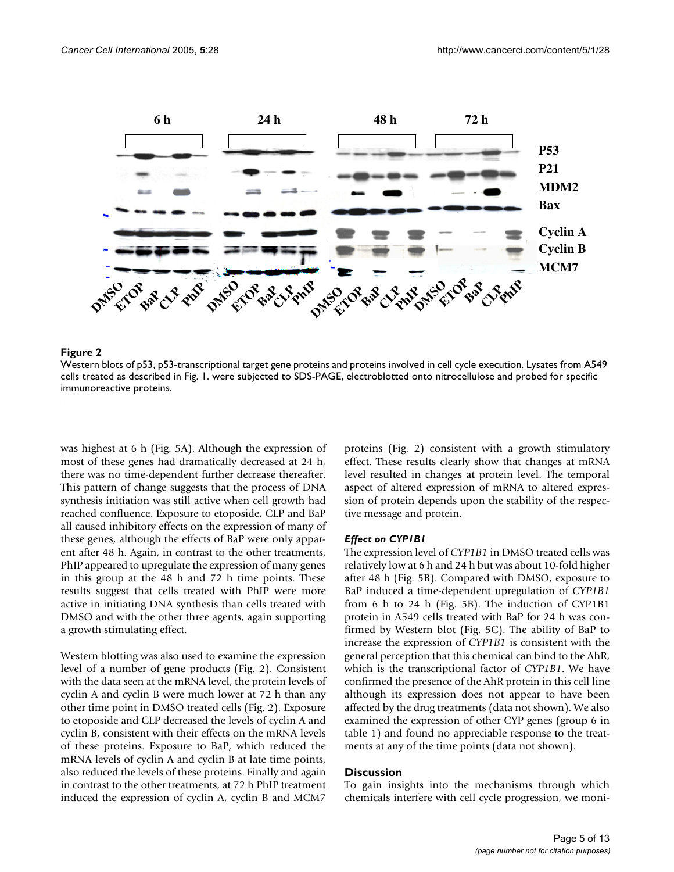

### Western blots of p53, p53-transcriptiona **Figure 2** l target gene proteins and proteins involved in cell cycle execution

Western blots of p53, p53-transcriptional target gene proteins and proteins involved in cell cycle execution. Lysates from A549 cells treated as described in Fig. 1. were subjected to SDS-PAGE, electroblotted onto nitrocellulose and probed for specific immunoreactive proteins.

was highest at 6 h (Fig. [5](#page-7-0)A). Although the expression of most of these genes had dramatically decreased at 24 h, there was no time-dependent further decrease thereafter. This pattern of change suggests that the process of DNA synthesis initiation was still active when cell growth had reached confluence. Exposure to etoposide, CLP and BaP all caused inhibitory effects on the expression of many of these genes, although the effects of BaP were only apparent after 48 h. Again, in contrast to the other treatments, PhIP appeared to upregulate the expression of many genes in this group at the 48 h and 72 h time points. These results suggest that cells treated with PhIP were more active in initiating DNA synthesis than cells treated with DMSO and with the other three agents, again supporting a growth stimulating effect.

Western blotting was also used to examine the expression level of a number of gene products (Fig. 2). Consistent with the data seen at the mRNA level, the protein levels of cyclin A and cyclin B were much lower at 72 h than any other time point in DMSO treated cells (Fig. 2). Exposure to etoposide and CLP decreased the levels of cyclin A and cyclin B, consistent with their effects on the mRNA levels of these proteins. Exposure to BaP, which reduced the mRNA levels of cyclin A and cyclin B at late time points, also reduced the levels of these proteins. Finally and again in contrast to the other treatments, at 72 h PhIP treatment induced the expression of cyclin A, cyclin B and MCM7

proteins (Fig. 2) consistent with a growth stimulatory effect. These results clearly show that changes at mRNA level resulted in changes at protein level. The temporal aspect of altered expression of mRNA to altered expression of protein depends upon the stability of the respective message and protein.

### *Effect on CYP1B1*

The expression level of *CYP1B1* in DMSO treated cells was relatively low at 6 h and 24 h but was about 10-fold higher after 48 h (Fig. [5](#page-7-0)B). Compared with DMSO, exposure to BaP induced a time-dependent upregulation of *CYP1B1* from 6 h to 24 h (Fig. [5B](#page-7-0)). The induction of CYP1B1 protein in A549 cells treated with BaP for 24 h was confirmed by Western blot (Fig. [5](#page-7-0)C). The ability of BaP to increase the expression of *CYP1B1* is consistent with the general perception that this chemical can bind to the AhR, which is the transcriptional factor of *CYP1B1*. We have confirmed the presence of the AhR protein in this cell line although its expression does not appear to have been affected by the drug treatments (data not shown). We also examined the expression of other CYP genes (group 6 in table [1](#page-3-0)) and found no appreciable response to the treatments at any of the time points (data not shown).

### **Discussion**

To gain insights into the mechanisms through which chemicals interfere with cell cycle progression, we moni-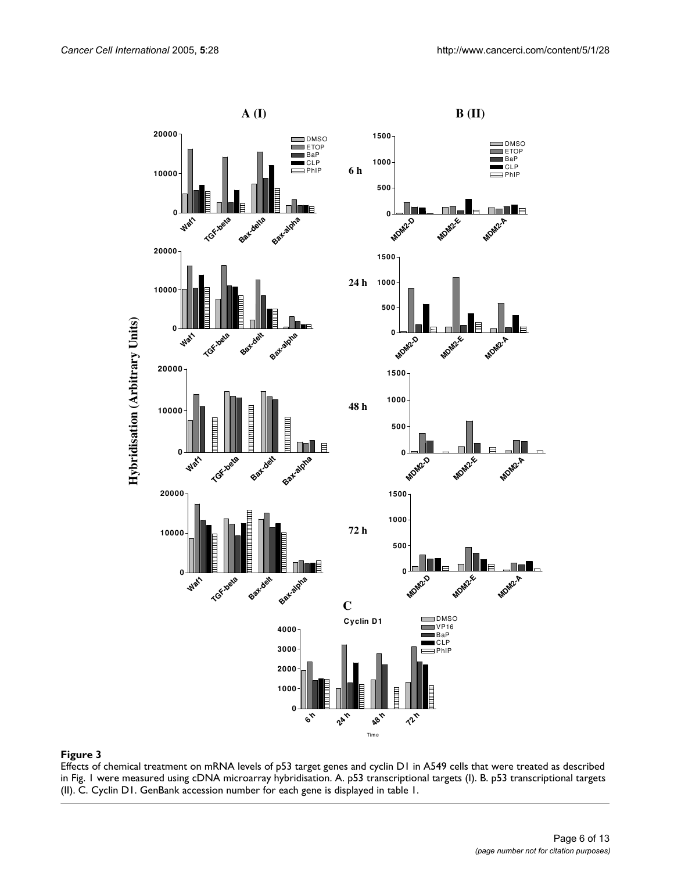

Effects of chemical treatment on mRNA levels of p53 target genes and cyclin D1 in A549 cells that were treated as described in Fig. 1 were measured using cDNA microarray hybridisation. A. p53 transcriptional targets (I). B. p53 transcriptional targets (II). C. Cyclin D1. GenBank accession number for each gene is displayed in table 1.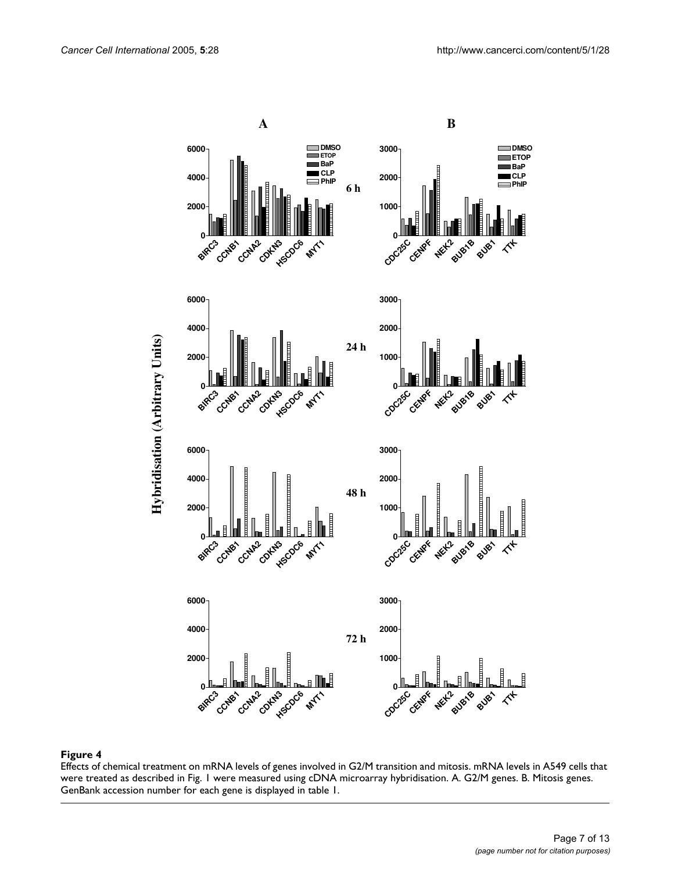<span id="page-6-0"></span>

### Effects of chemical treatment on mRNA levels of **Figure 4** genes involved in G2/M transition and mitosis

Effects of chemical treatment on mRNA levels of genes involved in G2/M transition and mitosis. mRNA levels in A549 cells that were treated as described in Fig. 1 were measured using cDNA microarray hybridisation. A. G2/M genes. B. Mitosis genes. GenBank accession number for each gene is displayed in table 1.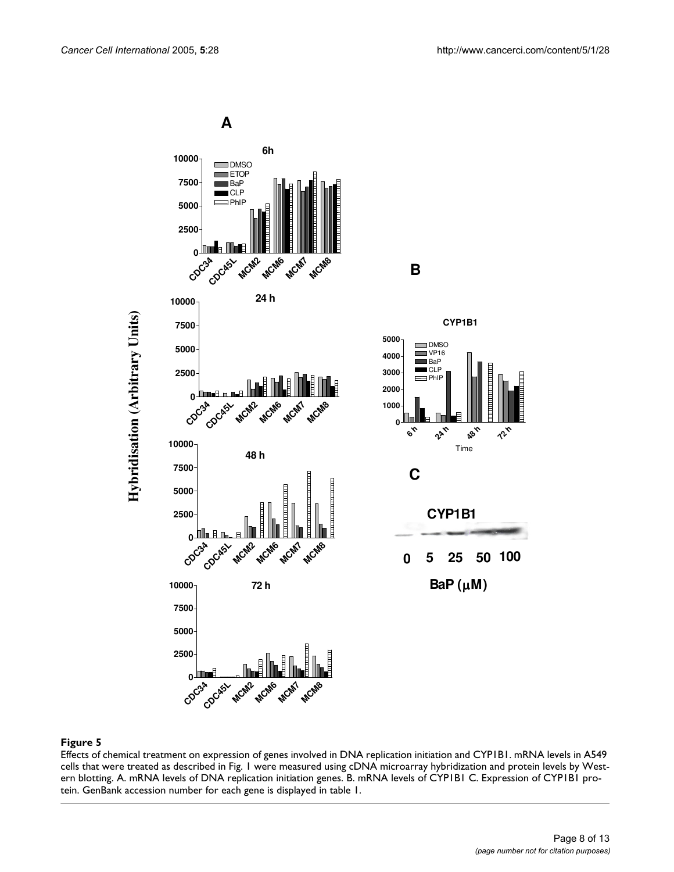<span id="page-7-0"></span>

### Effects of chemical treatment on expression of gene **Figure 5** s involved in DNA replication initiation and CYP1B1

Effects of chemical treatment on expression of genes involved in DNA replication initiation and CYP1B1. mRNA levels in A549 cells that were treated as described in Fig. 1 were measured using cDNA microarray hybridization and protein levels by Western blotting. A. mRNA levels of DNA replication initiation genes. B. mRNA levels of CYP1B1 C. Expression of CYP1B1 protein. GenBank accession number for each gene is displayed in table 1.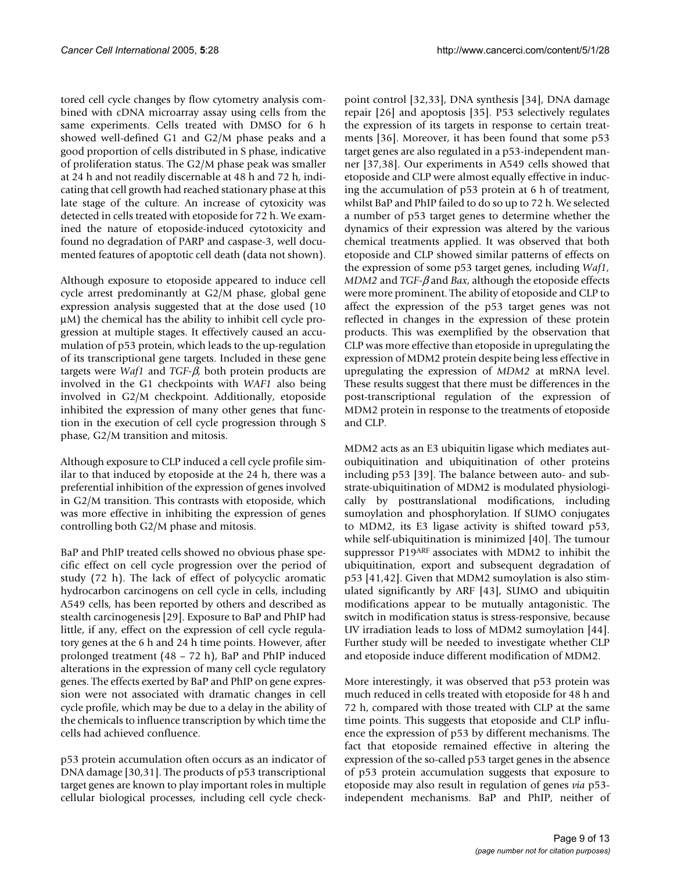tored cell cycle changes by flow cytometry analysis combined with cDNA microarray assay using cells from the same experiments. Cells treated with DMSO for 6 h showed well-defined G1 and G2/M phase peaks and a good proportion of cells distributed in S phase, indicative of proliferation status. The G2/M phase peak was smaller at 24 h and not readily discernable at 48 h and 72 h, indicating that cell growth had reached stationary phase at this late stage of the culture. An increase of cytoxicity was detected in cells treated with etoposide for 72 h. We examined the nature of etoposide-induced cytotoxicity and found no degradation of PARP and caspase-3, well documented features of apoptotic cell death (data not shown).

Although exposure to etoposide appeared to induce cell cycle arrest predominantly at G2/M phase, global gene expression analysis suggested that at the dose used (10 µM) the chemical has the ability to inhibit cell cycle progression at multiple stages. It effectively caused an accumulation of p53 protein, which leads to the up-regulation of its transcriptional gene targets. Included in these gene targets were *Waf1* and *TGF-*β, both protein products are involved in the G1 checkpoints with *WAF1* also being involved in G2/M checkpoint. Additionally, etoposide inhibited the expression of many other genes that function in the execution of cell cycle progression through S phase, G2/M transition and mitosis.

Although exposure to CLP induced a cell cycle profile similar to that induced by etoposide at the 24 h, there was a preferential inhibition of the expression of genes involved in G2/M transition. This contrasts with etoposide, which was more effective in inhibiting the expression of genes controlling both G2/M phase and mitosis.

BaP and PhIP treated cells showed no obvious phase specific effect on cell cycle progression over the period of study (72 h). The lack of effect of polycyclic aromatic hydrocarbon carcinogens on cell cycle in cells, including A549 cells, has been reported by others and described as stealth carcinogenesis [29]. Exposure to BaP and PhIP had little, if any, effect on the expression of cell cycle regulatory genes at the 6 h and 24 h time points. However, after prolonged treatment (48 – 72 h), BaP and PhIP induced alterations in the expression of many cell cycle regulatory genes. The effects exerted by BaP and PhIP on gene expression were not associated with dramatic changes in cell cycle profile, which may be due to a delay in the ability of the chemicals to influence transcription by which time the cells had achieved confluence.

p53 protein accumulation often occurs as an indicator of DNA damage [30,31]. The products of p53 transcriptional target genes are known to play important roles in multiple cellular biological processes, including cell cycle checkpoint control [32,33], DNA synthesis [34], DNA damage repair [26] and apoptosis [35]. P53 selectively regulates the expression of its targets in response to certain treatments [36]. Moreover, it has been found that some p53 target genes are also regulated in a p53-independent manner [37,38]. Our experiments in A549 cells showed that etoposide and CLP were almost equally effective in inducing the accumulation of p53 protein at 6 h of treatment, whilst BaP and PhIP failed to do so up to 72 h. We selected a number of p53 target genes to determine whether the dynamics of their expression was altered by the various chemical treatments applied. It was observed that both etoposide and CLP showed similar patterns of effects on the expression of some p53 target genes, including *Waf1, MDM2* and *TGF-*β and *Bax*, although the etoposide effects were more prominent. The ability of etoposide and CLP to affect the expression of the p53 target genes was not reflected in changes in the expression of these protein products. This was exemplified by the observation that CLP was more effective than etoposide in upregulating the expression of MDM2 protein despite being less effective in upregulating the expression of *MDM2* at mRNA level. These results suggest that there must be differences in the post-transcriptional regulation of the expression of MDM2 protein in response to the treatments of etoposide and CLP.

MDM2 acts as an E3 ubiquitin ligase which mediates autoubiquitination and ubiquitination of other proteins including p53 [39]. The balance between auto- and substrate-ubiquitination of MDM2 is modulated physiologically by posttranslational modifications, including sumoylation and phosphorylation. If SUMO conjugates to MDM2, its E3 ligase activity is shifted toward p53, while self-ubiquitination is minimized [40]. The tumour suppressor P19ARF associates with MDM2 to inhibit the ubiquitination, export and subsequent degradation of p53 [41,42]. Given that MDM2 sumoylation is also stimulated significantly by ARF [43], SUMO and ubiquitin modifications appear to be mutually antagonistic. The switch in modification status is stress-responsive, because UV irradiation leads to loss of MDM2 sumoylation [44]. Further study will be needed to investigate whether CLP and etoposide induce different modification of MDM2.

More interestingly, it was observed that p53 protein was much reduced in cells treated with etoposide for 48 h and 72 h, compared with those treated with CLP at the same time points. This suggests that etoposide and CLP influence the expression of p53 by different mechanisms. The fact that etoposide remained effective in altering the expression of the so-called p53 target genes in the absence of p53 protein accumulation suggests that exposure to etoposide may also result in regulation of genes *via* p53 independent mechanisms. BaP and PhIP, neither of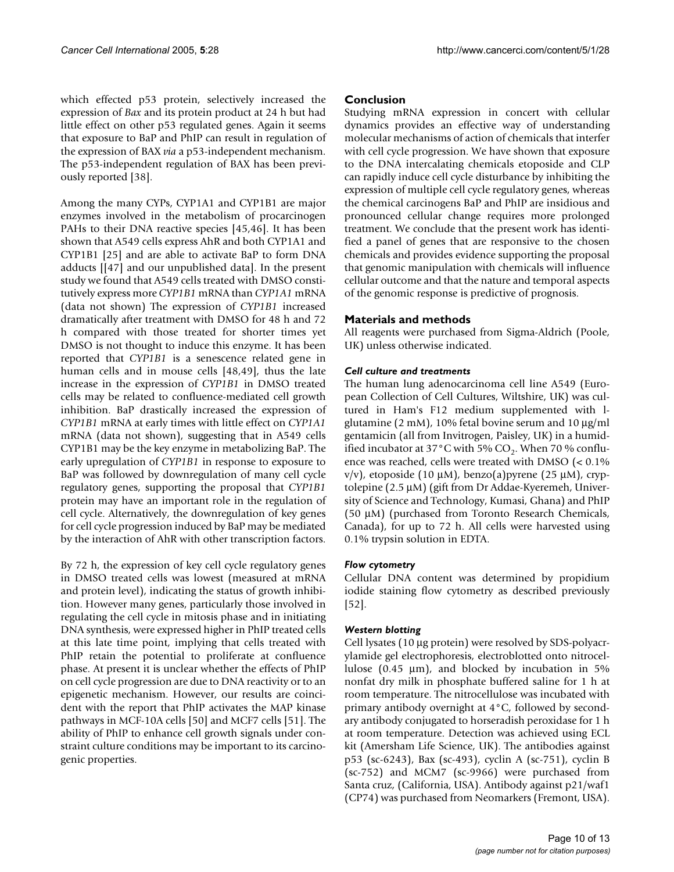which effected p53 protein, selectively increased the expression of *Bax* and its protein product at 24 h but had little effect on other p53 regulated genes. Again it seems that exposure to BaP and PhIP can result in regulation of the expression of BAX *via* a p53-independent mechanism. The p53-independent regulation of BAX has been previously reported [38].

Among the many CYPs, CYP1A1 and CYP1B1 are major enzymes involved in the metabolism of procarcinogen PAHs to their DNA reactive species [45,46]. It has been shown that A549 cells express AhR and both CYP1A1 and CYP1B1 [25] and are able to activate BaP to form DNA adducts [[47] and our unpublished data]. In the present study we found that A549 cells treated with DMSO constitutively express more *CYP1B1* mRNA than *CYP1A1* mRNA (data not shown) The expression of *CYP1B1* increased dramatically after treatment with DMSO for 48 h and 72 h compared with those treated for shorter times yet DMSO is not thought to induce this enzyme. It has been reported that *CYP1B1* is a senescence related gene in human cells and in mouse cells [48,49], thus the late increase in the expression of *CYP1B1* in DMSO treated cells may be related to confluence-mediated cell growth inhibition. BaP drastically increased the expression of *CYP1B1* mRNA at early times with little effect on *CYP1A1* mRNA (data not shown), suggesting that in A549 cells CYP1B1 may be the key enzyme in metabolizing BaP. The early upregulation of *CYP1B1* in response to exposure to BaP was followed by downregulation of many cell cycle regulatory genes, supporting the proposal that *CYP1B1* protein may have an important role in the regulation of cell cycle. Alternatively, the downregulation of key genes for cell cycle progression induced by BaP may be mediated by the interaction of AhR with other transcription factors.

By 72 h, the expression of key cell cycle regulatory genes in DMSO treated cells was lowest (measured at mRNA and protein level), indicating the status of growth inhibition. However many genes, particularly those involved in regulating the cell cycle in mitosis phase and in initiating DNA synthesis, were expressed higher in PhIP treated cells at this late time point, implying that cells treated with PhIP retain the potential to proliferate at confluence phase. At present it is unclear whether the effects of PhIP on cell cycle progression are due to DNA reactivity or to an epigenetic mechanism. However, our results are coincident with the report that PhIP activates the MAP kinase pathways in MCF-10A cells [50] and MCF7 cells [51]. The ability of PhIP to enhance cell growth signals under constraint culture conditions may be important to its carcinogenic properties.

### **Conclusion**

Studying mRNA expression in concert with cellular dynamics provides an effective way of understanding molecular mechanisms of action of chemicals that interfer with cell cycle progression. We have shown that exposure to the DNA intercalating chemicals etoposide and CLP can rapidly induce cell cycle disturbance by inhibiting the expression of multiple cell cycle regulatory genes, whereas the chemical carcinogens BaP and PhIP are insidious and pronounced cellular change requires more prolonged treatment. We conclude that the present work has identified a panel of genes that are responsive to the chosen chemicals and provides evidence supporting the proposal that genomic manipulation with chemicals will influence cellular outcome and that the nature and temporal aspects of the genomic response is predictive of prognosis.

### **Materials and methods**

All reagents were purchased from Sigma-Aldrich (Poole, UK) unless otherwise indicated.

### *Cell culture and treatments*

The human lung adenocarcinoma cell line A549 (European Collection of Cell Cultures, Wiltshire, UK) was cultured in Ham's F12 medium supplemented with lglutamine (2 mM), 10% fetal bovine serum and 10 µg/ml gentamicin (all from Invitrogen, Paisley, UK) in a humidified incubator at 37 °C with 5%  $CO<sub>2</sub>$ . When 70 % confluence was reached, cells were treated with DMSO (< 0.1%  $v/v$ ), etoposide (10 µM), benzo(a)pyrene (25 µM), cryptolepine (2.5 µM) (gift from Dr Addae-Kyeremeh, University of Science and Technology, Kumasi, Ghana) and PhIP (50 µM) (purchased from Toronto Research Chemicals, Canada), for up to 72 h. All cells were harvested using 0.1% trypsin solution in EDTA.

### *Flow cytometry*

Cellular DNA content was determined by propidium iodide staining flow cytometry as described previously [52].

### *Western blotting*

Cell lysates (10 µg protein) were resolved by SDS-polyacrylamide gel electrophoresis, electroblotted onto nitrocellulose  $(0.45 \mu m)$ , and blocked by incubation in 5% nonfat dry milk in phosphate buffered saline for 1 h at room temperature. The nitrocellulose was incubated with primary antibody overnight at 4°C, followed by secondary antibody conjugated to horseradish peroxidase for 1 h at room temperature. Detection was achieved using ECL kit (Amersham Life Science, UK). The antibodies against p53 (sc-6243), Bax (sc-493), cyclin A (sc-751), cyclin B (sc-752) and MCM7 (sc-9966) were purchased from Santa cruz, (California, USA). Antibody against p21/waf1 (CP74) was purchased from Neomarkers (Fremont, USA).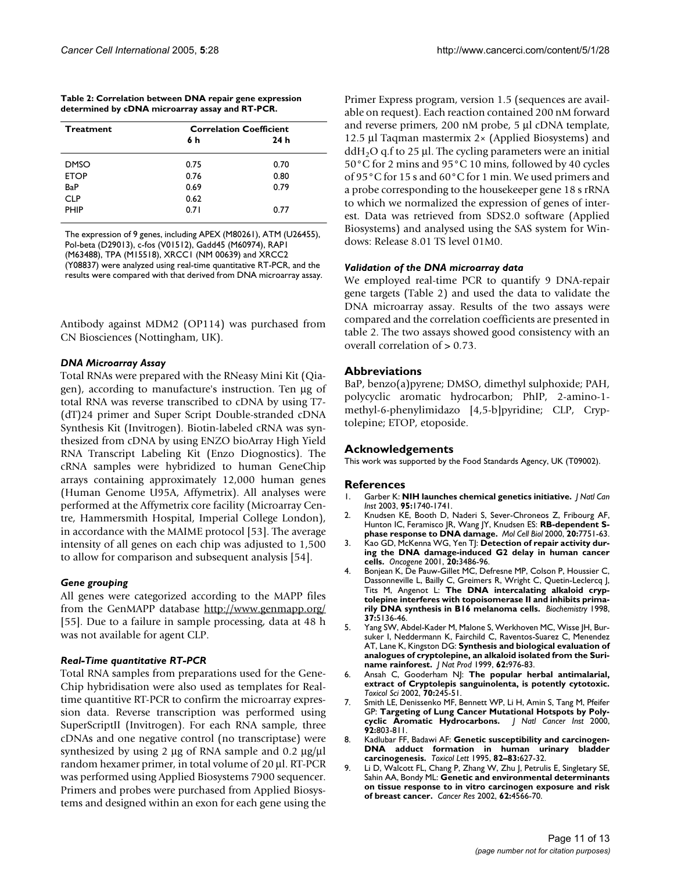| http://www.cancerci.com/content/5/1/28 |  |
|----------------------------------------|--|
|----------------------------------------|--|

| Table 2: Correlation between DNA repair gene expression |  |
|---------------------------------------------------------|--|
| determined by cDNA microarray assay and RT-PCR.         |  |

| <b>Correlation Coefficient</b> |      |  |
|--------------------------------|------|--|
| 6 h                            | 24h  |  |
| 0.75                           | 0.70 |  |
| 0.76                           | 0.80 |  |
| 0.69                           | 0.79 |  |
| 0.62                           |      |  |
| 0.71                           | 0.77 |  |
|                                |      |  |

The expression of 9 genes, including APEX (M80261), ATM (U26455), Pol-beta (D29013), c-fos (V01512), Gadd45 (M60974), RAP1 (M63488), TPA (M15518), XRCC1 (NM 00639) and XRCC2 (Y08837) were analyzed using real-time quantitative RT-PCR, and the results were compared with that derived from DNA microarray assay.

Antibody against MDM2 (OP114) was purchased from CN Biosciences (Nottingham, UK).

### *DNA Microarray Assay*

Total RNAs were prepared with the RNeasy Mini Kit (Qiagen), according to manufacture's instruction. Ten µg of total RNA was reverse transcribed to cDNA by using T7- (dT)24 primer and Super Script Double-stranded cDNA Synthesis Kit (Invitrogen). Biotin-labeled cRNA was synthesized from cDNA by using ENZO bioArray High Yield RNA Transcript Labeling Kit (Enzo Diognostics). The cRNA samples were hybridized to human GeneChip arrays containing approximately 12,000 human genes (Human Genome U95A, Affymetrix). All analyses were performed at the Affymetrix core facility (Microarray Centre, Hammersmith Hospital, Imperial College London), in accordance with the MAIME protocol [53]. The average intensity of all genes on each chip was adjusted to 1,500 to allow for comparison and subsequent analysis [54].

### *Gene grouping*

All genes were categorized according to the MAPP files from the GenMAPP database <http://www.genmapp.org/> [55]. Due to a failure in sample processing, data at 48 h was not available for agent CLP.

### *Real-Time quantitative RT-PCR*

Total RNA samples from preparations used for the Gene-Chip hybridisation were also used as templates for Realtime quantitive RT-PCR to confirm the microarray expression data. Reverse transcription was performed using SuperScriptII (Invitrogen). For each RNA sample, three cDNAs and one negative control (no transcriptase) were synthesized by using 2  $\mu$ g of RNA sample and 0.2  $\mu$ g/ $\mu$ l random hexamer primer, in total volume of 20 µl. RT-PCR was performed using Applied Biosystems 7900 sequencer. Primers and probes were purchased from Applied Biosystems and designed within an exon for each gene using the Primer Express program, version 1.5 (sequences are available on request). Each reaction contained 200 nM forward and reverse primers, 200 nM probe, 5 µl cDNA template, 12.5 µl Taqman mastermix 2× (Applied Biosystems) and  $ddH<sub>2</sub>O$  q.f to 25 µl. The cycling parameters were an initial 50°C for 2 mins and 95°C 10 mins, followed by 40 cycles of 95°C for 15 s and 60°C for 1 min. We used primers and a probe corresponding to the housekeeper gene 18 s rRNA to which we normalized the expression of genes of interest. Data was retrieved from SDS2.0 software (Applied Biosystems) and analysed using the SAS system for Windows: Release 8.01 TS level 01M0.

### *Validation of the DNA microarray data*

We employed real-time PCR to quantify 9 DNA-repair gene targets (Table 2) and used the data to validate the DNA microarray assay. Results of the two assays were compared and the correlation coefficients are presented in table 2. The two assays showed good consistency with an overall correlation of > 0.73.

### **Abbreviations**

BaP, benzo(a)pyrene; DMSO, dimethyl sulphoxide; PAH, polycyclic aromatic hydrocarbon; PhIP, 2-amino-1 methyl-6-phenylimidazo [4,5-b]pyridine; CLP, Cryptolepine; ETOP, etoposide.

### **Acknowledgements**

This work was supported by the Food Standards Agency, UK (T09002).

### **References**

- 1. Garber K: **NIH launches chemical genetics initiative.** *J Natl Can Inst* 2003, **95:**1740-1741.
- 2. Knudsen KE, Booth D, Naderi S, Sever-Chroneos Z, Fribourg AF, Hunton IC, Feramisco JR, Wang JY, Knudsen ES: **[RB-dependent S](http://www.ncbi.nlm.nih.gov/entrez/query.fcgi?cmd=Retrieve&db=PubMed&dopt=Abstract&list_uids=11003670)[phase response to DNA damage.](http://www.ncbi.nlm.nih.gov/entrez/query.fcgi?cmd=Retrieve&db=PubMed&dopt=Abstract&list_uids=11003670)** *Mol Cell Biol* 2000, **20:**7751-63.
- 3. Kao GD, McKenna WG, Yen TJ: **[Detection of repair activity dur](http://www.ncbi.nlm.nih.gov/entrez/query.fcgi?cmd=Retrieve&db=PubMed&dopt=Abstract&list_uids=11429695)[ing the DNA damage-induced G2 delay in human cancer](http://www.ncbi.nlm.nih.gov/entrez/query.fcgi?cmd=Retrieve&db=PubMed&dopt=Abstract&list_uids=11429695) [cells.](http://www.ncbi.nlm.nih.gov/entrez/query.fcgi?cmd=Retrieve&db=PubMed&dopt=Abstract&list_uids=11429695)** *Oncogene* 2001, **20:**3486-96.
- 4. Bonjean K, De Pauw-Gillet MC, Defresne MP, Colson P, Houssier C, Dassonneville L, Bailly C, Greimers R, Wright C, Quetin-Leclercq J, Tits M, Angenot L: **[The DNA intercalating alkaloid cryp](http://www.ncbi.nlm.nih.gov/entrez/query.fcgi?cmd=Retrieve&db=PubMed&dopt=Abstract&list_uids=9548744)[tolepine interferes with topoisomerase II and inhibits prima](http://www.ncbi.nlm.nih.gov/entrez/query.fcgi?cmd=Retrieve&db=PubMed&dopt=Abstract&list_uids=9548744)[rily DNA synthesis in B16 melanoma cells.](http://www.ncbi.nlm.nih.gov/entrez/query.fcgi?cmd=Retrieve&db=PubMed&dopt=Abstract&list_uids=9548744)** *Biochemistry* 1998, **37:**5136-46.
- 5. Yang SW, Abdel-Kader M, Malone S, Werkhoven MC, Wisse JH, Bursuker I, Neddermann K, Fairchild C, Raventos-Suarez C, Menendez AT, Lane K, Kingston DG: **[Synthesis and biological evaluation of](http://www.ncbi.nlm.nih.gov/entrez/query.fcgi?cmd=Retrieve&db=PubMed&dopt=Abstract&list_uids=10425120) [analogues of cryptolepine, an alkaloid isolated from the Suri](http://www.ncbi.nlm.nih.gov/entrez/query.fcgi?cmd=Retrieve&db=PubMed&dopt=Abstract&list_uids=10425120)[name rainforest.](http://www.ncbi.nlm.nih.gov/entrez/query.fcgi?cmd=Retrieve&db=PubMed&dopt=Abstract&list_uids=10425120)** *J Nat Prod* 1999, **62:**976-83.
- 6. Ansah C, Gooderham NJ: **[The popular herbal antimalarial,](http://www.ncbi.nlm.nih.gov/entrez/query.fcgi?cmd=Retrieve&db=PubMed&dopt=Abstract&list_uids=12441369) [extract of Cryptolepis sanguinolenta, is potently cytotoxic.](http://www.ncbi.nlm.nih.gov/entrez/query.fcgi?cmd=Retrieve&db=PubMed&dopt=Abstract&list_uids=12441369)** *Toxicol Sci* 2002, **70:**245-51.
- Smith LE, Denissenko MF, Bennett WP, Li H, Amin S, Tang M, Pfeifer GP: **[Targeting of Lung Cancer Mutational Hotspots by Poly](http://www.ncbi.nlm.nih.gov/entrez/query.fcgi?cmd=Retrieve&db=PubMed&dopt=Abstract&list_uids=10814675)[cyclic Aromatic Hydrocarbons.](http://www.ncbi.nlm.nih.gov/entrez/query.fcgi?cmd=Retrieve&db=PubMed&dopt=Abstract&list_uids=10814675)** *J Natl Cancer Inst* 2000, **92:**803-811.
- 8. Kadlubar FF, Badawi AF: **Genetic susceptibility and carcinogen-DNA adduct formation in human urinary bladder carcinogenesis.** *Toxicol Lett* 1995, **82–83:**627-32.
- 9. Li D, Walcott FL, Chang P, Zhang W, Zhu J, Petrulis E, Singletary SE, Sahin AA, Bondy ML: **[Genetic and environmental determinants](http://www.ncbi.nlm.nih.gov/entrez/query.fcgi?cmd=Retrieve&db=PubMed&dopt=Abstract&list_uids=12183407) [on tissue response to in vitro carcinogen exposure and risk](http://www.ncbi.nlm.nih.gov/entrez/query.fcgi?cmd=Retrieve&db=PubMed&dopt=Abstract&list_uids=12183407) [of breast cancer.](http://www.ncbi.nlm.nih.gov/entrez/query.fcgi?cmd=Retrieve&db=PubMed&dopt=Abstract&list_uids=12183407)** *Cancer Res* 2002, **62:**4566-70.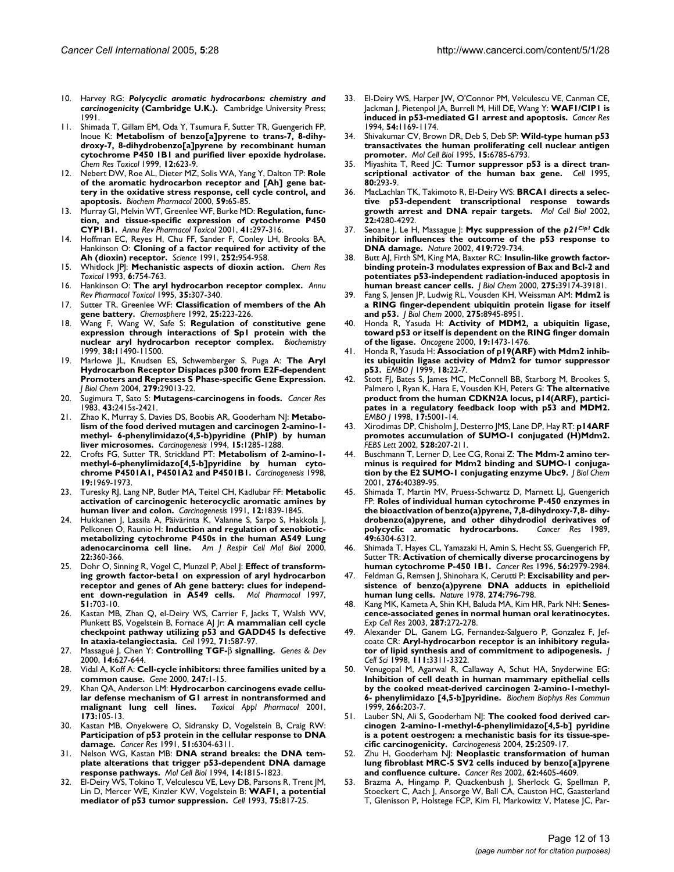- 10. Harvey RG: *Polycyclic aromatic hydrocarbons: chemistry and carcinogenicity* **(Cambridge U.K.).** Cambridge University Press; 1991.
- Shimada T, Gillam EM, Oda Y, Tsumura F, Sutter TR, Guengerich FP, Inoue K: **[Metabolism of benzo\[a\]pyrene to trans-7, 8-dihy](http://www.ncbi.nlm.nih.gov/entrez/query.fcgi?cmd=Retrieve&db=PubMed&dopt=Abstract&list_uids=10409402)droxy-7, 8-dihydrobenzo[a]pyrene by recombinant human [cytochrome P450 1B1 and purified liver epoxide hydrolase.](http://www.ncbi.nlm.nih.gov/entrez/query.fcgi?cmd=Retrieve&db=PubMed&dopt=Abstract&list_uids=10409402)** *Chem Res Toxicol* 1999, **12:**623-9.
- 12. Nebert DW, Roe AL, Dieter MZ, Solis WA, Yang Y, Dalton TP: **[Role](http://www.ncbi.nlm.nih.gov/entrez/query.fcgi?cmd=Retrieve&db=PubMed&dopt=Abstract&list_uids=10605936) of the aromatic hydrocarbon receptor and [Ah] gene bat[tery in the oxidative stress response, cell cycle control, and](http://www.ncbi.nlm.nih.gov/entrez/query.fcgi?cmd=Retrieve&db=PubMed&dopt=Abstract&list_uids=10605936) [apoptosis.](http://www.ncbi.nlm.nih.gov/entrez/query.fcgi?cmd=Retrieve&db=PubMed&dopt=Abstract&list_uids=10605936)** *Biochem Pharmacol* 2000, **59:**65-85.
- 13. Murray GI, Melvin WT, Greenlee WF, Burke MD: **[Regulation, func](http://www.ncbi.nlm.nih.gov/entrez/query.fcgi?cmd=Retrieve&db=PubMed&dopt=Abstract&list_uids=11264459)[tion, and tissue-specific expression of cytochrome P450](http://www.ncbi.nlm.nih.gov/entrez/query.fcgi?cmd=Retrieve&db=PubMed&dopt=Abstract&list_uids=11264459) [CYP1B1.](http://www.ncbi.nlm.nih.gov/entrez/query.fcgi?cmd=Retrieve&db=PubMed&dopt=Abstract&list_uids=11264459)** *Annu Rev Pharmacol Toxicol* 2001, **41:**297-316.
- 14. Hoffman EC, Reyes H, Chu FF, Sander F, Conley LH, Brooks BA, Hankinson O: **[Cloning of a factor required for activity of the](http://www.ncbi.nlm.nih.gov/entrez/query.fcgi?cmd=Retrieve&db=PubMed&dopt=Abstract&list_uids=1852076) [Ah \(dioxin\) receptor.](http://www.ncbi.nlm.nih.gov/entrez/query.fcgi?cmd=Retrieve&db=PubMed&dopt=Abstract&list_uids=1852076)** *Science* 1991, **252:**954-958.
- 15. Whitlock JPJ: **[Mechanistic aspects of dioxin action.](http://www.ncbi.nlm.nih.gov/entrez/query.fcgi?cmd=Retrieve&db=PubMed&dopt=Abstract&list_uids=8117913)** *Chem Res Toxicol* 1993, **6:**754-763.
- 16. Hankinson O: **[The aryl hydrocarbon receptor complex.](http://www.ncbi.nlm.nih.gov/entrez/query.fcgi?cmd=Retrieve&db=PubMed&dopt=Abstract&list_uids=7598497)** *Annu Rev Pharmacol Toxicol* 1995, **35:**307-340.
- 17. Sutter TR, Greenlee WF: **Classification of members of the Ah gene battery.** *Chemosphere* 1992, **25:**223-226.
- 18. Wang F, Wang W, Safe S: **[Regulation of constitutive gene](http://www.ncbi.nlm.nih.gov/entrez/query.fcgi?cmd=Retrieve&db=PubMed&dopt=Abstract&list_uids=10471301) [expression through interactions of Sp1 protein with the](http://www.ncbi.nlm.nih.gov/entrez/query.fcgi?cmd=Retrieve&db=PubMed&dopt=Abstract&list_uids=10471301) [nuclear aryl hydrocarbon receptor complex.](http://www.ncbi.nlm.nih.gov/entrez/query.fcgi?cmd=Retrieve&db=PubMed&dopt=Abstract&list_uids=10471301)** *Biochemistry* 1999, **38:**11490-11500.
- 19. Marlowe JL, Knudsen ES, Schwemberger S, Puga A: **[The Aryl](http://www.ncbi.nlm.nih.gov/entrez/query.fcgi?cmd=Retrieve&db=PubMed&dopt=Abstract&list_uids=15123621) Hydrocarbon Receptor Displaces p300 from E2F-dependent [Promoters and Represses S Phase-specific Gene Expression.](http://www.ncbi.nlm.nih.gov/entrez/query.fcgi?cmd=Retrieve&db=PubMed&dopt=Abstract&list_uids=15123621)** *J Biol Chem* 2004, **279:**29013-22.
- 20. Sugimura T, Sato S: **[Mutagens-carcinogens in foods.](http://www.ncbi.nlm.nih.gov/entrez/query.fcgi?cmd=Retrieve&db=PubMed&dopt=Abstract&list_uids=6682010)** *Cancer Res* 1983, **43:**2415s-2421.
- 21. Zhao K, Murray S, Davies DS, Boobis AR, Gooderham NJ: **[Metabo](http://www.ncbi.nlm.nih.gov/entrez/query.fcgi?cmd=Retrieve&db=PubMed&dopt=Abstract&list_uids=8020169)lism of the food derived mutagen and carcinogen 2-amino-1 [methyl- 6-phenylimidazo\(4,5-b\)pyridine \(PhIP\) by human](http://www.ncbi.nlm.nih.gov/entrez/query.fcgi?cmd=Retrieve&db=PubMed&dopt=Abstract&list_uids=8020169) [liver microsomes.](http://www.ncbi.nlm.nih.gov/entrez/query.fcgi?cmd=Retrieve&db=PubMed&dopt=Abstract&list_uids=8020169)** *Carcinogenesis* 1994, **15:**1285-1288.
- 22. Crofts FG, Sutter TR, Strickland PT: **[Metabolism of 2-amino-1](http://www.ncbi.nlm.nih.gov/entrez/query.fcgi?cmd=Retrieve&db=PubMed&dopt=Abstract&list_uids=9855011) [methyl-6-phenylimidazo\[4,5-b\]pyridine by human cyto](http://www.ncbi.nlm.nih.gov/entrez/query.fcgi?cmd=Retrieve&db=PubMed&dopt=Abstract&list_uids=9855011)[chrome P4501A1, P4501A2 and P4501B1.](http://www.ncbi.nlm.nih.gov/entrez/query.fcgi?cmd=Retrieve&db=PubMed&dopt=Abstract&list_uids=9855011)** *Carcinogenesis* 1998, **19:**1969-1973.
- 23. Turesky RJ, Lang NP, Butler MA, Teitel CH, Kadlubar FF: **[Metabolic](http://www.ncbi.nlm.nih.gov/entrez/query.fcgi?cmd=Retrieve&db=PubMed&dopt=Abstract&list_uids=1934265) [activation of carcinogenic heterocyclic aromatic amines by](http://www.ncbi.nlm.nih.gov/entrez/query.fcgi?cmd=Retrieve&db=PubMed&dopt=Abstract&list_uids=1934265) [human liver and colon.](http://www.ncbi.nlm.nih.gov/entrez/query.fcgi?cmd=Retrieve&db=PubMed&dopt=Abstract&list_uids=1934265)** *Carcinogenesis* 1991, **12:**1839-1845.
- Hukkanen J, Lassila A, Päivärinta K, Valanne S, Sarpo S, Hakkola J, Pelkonen O, Raunio H: **[Induction and regulation of xenobiotic](http://www.ncbi.nlm.nih.gov/entrez/query.fcgi?cmd=Retrieve&db=PubMed&dopt=Abstract&list_uids=10696073)[metabolizing cytochrome P450s in the human A549 Lung](http://www.ncbi.nlm.nih.gov/entrez/query.fcgi?cmd=Retrieve&db=PubMed&dopt=Abstract&list_uids=10696073) [adenocarcinoma cell line.](http://www.ncbi.nlm.nih.gov/entrez/query.fcgi?cmd=Retrieve&db=PubMed&dopt=Abstract&list_uids=10696073)** *Am J Respir Cell Mol Biol* 2000, **22:**360-366.
- 25. Dohr O, Sinning R, Vogel C, Munzel P, Abel J: **[Effect of transform](http://www.ncbi.nlm.nih.gov/entrez/query.fcgi?cmd=Retrieve&db=PubMed&dopt=Abstract&list_uids=9145908)ing growth factor-beta1 on expression of aryl hydrocarbon [receptor and genes of Ah gene battery: clues for independ](http://www.ncbi.nlm.nih.gov/entrez/query.fcgi?cmd=Retrieve&db=PubMed&dopt=Abstract&list_uids=9145908)[ent down-regulation in A549 cells.](http://www.ncbi.nlm.nih.gov/entrez/query.fcgi?cmd=Retrieve&db=PubMed&dopt=Abstract&list_uids=9145908)** *Mol Pharmacol* 1997, **51:**703-10.
- 26. Kastan MB, Zhan Q, el-Deiry WS, Carrier F, Jacks T, Walsh WV, Plunkett BS, Vogelstein B, Fornace AJ Jr: **[A mammalian cell cycle](http://www.ncbi.nlm.nih.gov/entrez/query.fcgi?cmd=Retrieve&db=PubMed&dopt=Abstract&list_uids=1423616) [checkpoint pathway utilizing p53 and GADD45 Is defective](http://www.ncbi.nlm.nih.gov/entrez/query.fcgi?cmd=Retrieve&db=PubMed&dopt=Abstract&list_uids=1423616) [In ataxia-telangiectasia.](http://www.ncbi.nlm.nih.gov/entrez/query.fcgi?cmd=Retrieve&db=PubMed&dopt=Abstract&list_uids=1423616)** *Cell* 1992, **71:**587-97.
- 27. Massagué J, Chen Y: **Controlling TGF-**β **[signalling.](http://www.ncbi.nlm.nih.gov/entrez/query.fcgi?cmd=Retrieve&db=PubMed&dopt=Abstract&list_uids=10733523)** *Genes & Dev* 2000, **14:**627-644.
- 28. Vidal A, Koff A: **[Cell-cycle inhibitors: three families united by a](http://www.ncbi.nlm.nih.gov/entrez/query.fcgi?cmd=Retrieve&db=PubMed&dopt=Abstract&list_uids=10773440) [common cause.](http://www.ncbi.nlm.nih.gov/entrez/query.fcgi?cmd=Retrieve&db=PubMed&dopt=Abstract&list_uids=10773440)** *Gene* 2000, **247:**1-15.
- 29. Khan QA, Anderson LM: **[Hydrocarbon carcinogens evade cellu](http://www.ncbi.nlm.nih.gov/entrez/query.fcgi?cmd=Retrieve&db=PubMed&dopt=Abstract&list_uids=11384212)[lar defense mechanism of G1 arrest in nontransformed and](http://www.ncbi.nlm.nih.gov/entrez/query.fcgi?cmd=Retrieve&db=PubMed&dopt=Abstract&list_uids=11384212)**  $malignant$  lung cell lines. **173:**105-13.
- 30. Kastan MB, Onyekwere O, Sidransky D, Vogelstein B, Craig RW: **[Participation of p53 protein in the cellular response to DNA](http://www.ncbi.nlm.nih.gov/entrez/query.fcgi?cmd=Retrieve&db=PubMed&dopt=Abstract&list_uids=1933891) [damage.](http://www.ncbi.nlm.nih.gov/entrez/query.fcgi?cmd=Retrieve&db=PubMed&dopt=Abstract&list_uids=1933891)** *Cancer Res* 1991, **51:**6304-6311.
- 31. Nelson WG, Kastan MB: **[DNA strand breaks: the DNA tem](http://www.ncbi.nlm.nih.gov/entrez/query.fcgi?cmd=Retrieve&db=PubMed&dopt=Abstract&list_uids=8114714)[plate alterations that trigger p53-dependent DNA damage](http://www.ncbi.nlm.nih.gov/entrez/query.fcgi?cmd=Retrieve&db=PubMed&dopt=Abstract&list_uids=8114714) [response pathways.](http://www.ncbi.nlm.nih.gov/entrez/query.fcgi?cmd=Retrieve&db=PubMed&dopt=Abstract&list_uids=8114714)** *Mol Cell Biol* 1994, **14:**1815-1823.
- 32. El-Deiry WS, Tokino T, Velculescu VE, Levy DB, Parsons R, Trent JM, Lin D, Mercer WE, Kinzler KW, Vogelstein B: **[WAF1, a potential](http://www.ncbi.nlm.nih.gov/entrez/query.fcgi?cmd=Retrieve&db=PubMed&dopt=Abstract&list_uids=8242752) [mediator of p53 tumor suppression.](http://www.ncbi.nlm.nih.gov/entrez/query.fcgi?cmd=Retrieve&db=PubMed&dopt=Abstract&list_uids=8242752)** *Cell* 1993, **75:**817-25.
- 33. El-Deiry WS, Harper JW, O'Connor PM, Velculescu VE, Canman CE, Jackman J, Pietenpol JA, Burrell M, Hill DE, Wang Y: **[WAF1/CIP1 is](http://www.ncbi.nlm.nih.gov/entrez/query.fcgi?cmd=Retrieve&db=PubMed&dopt=Abstract&list_uids=8118801) [induced in p53-mediated G1 arrest and apoptosis.](http://www.ncbi.nlm.nih.gov/entrez/query.fcgi?cmd=Retrieve&db=PubMed&dopt=Abstract&list_uids=8118801)** *Cancer Res* 1994, **54:**1169-1174.
- 34. Shivakumar CV, Brown DR, Deb S, Deb SP: [Wild-type human p53](http://www.ncbi.nlm.nih.gov/entrez/query.fcgi?cmd=Retrieve&db=PubMed&dopt=Abstract&list_uids=8524244) **[transactivates the human proliferating cell nuclear antigen](http://www.ncbi.nlm.nih.gov/entrez/query.fcgi?cmd=Retrieve&db=PubMed&dopt=Abstract&list_uids=8524244) [promoter.](http://www.ncbi.nlm.nih.gov/entrez/query.fcgi?cmd=Retrieve&db=PubMed&dopt=Abstract&list_uids=8524244)** *Mol Cell Biol* 1995, **15:**6785-6793.
- 35. Miyashita T, Reed JC: **[Tumor suppressor p53 is a direct tran](http://www.ncbi.nlm.nih.gov/entrez/query.fcgi?cmd=Retrieve&db=PubMed&dopt=Abstract&list_uids=7834749)[scriptional activator of the human bax gene.](http://www.ncbi.nlm.nih.gov/entrez/query.fcgi?cmd=Retrieve&db=PubMed&dopt=Abstract&list_uids=7834749)** *Cell* 1995, **80:**293-9.
- 36. MacLachlan TK, Takimoto R, El-Deiry WS: **[BRCA1 directs a selec](http://www.ncbi.nlm.nih.gov/entrez/query.fcgi?cmd=Retrieve&db=PubMed&dopt=Abstract&list_uids=12024039)[tive p53-dependent transcriptional response towards](http://www.ncbi.nlm.nih.gov/entrez/query.fcgi?cmd=Retrieve&db=PubMed&dopt=Abstract&list_uids=12024039) [growth arrest and DNA repair targets.](http://www.ncbi.nlm.nih.gov/entrez/query.fcgi?cmd=Retrieve&db=PubMed&dopt=Abstract&list_uids=12024039)** *Mol Cell Biol* 2002, **22:**4280-4292.
- 37. Seoane J, Le H, Massague J: **Myc suppression of the** *p21Cip1* **[Cdk](http://www.ncbi.nlm.nih.gov/entrez/query.fcgi?cmd=Retrieve&db=PubMed&dopt=Abstract&list_uids=12384701) [inhibitor influences the outcome of the p53 response to](http://www.ncbi.nlm.nih.gov/entrez/query.fcgi?cmd=Retrieve&db=PubMed&dopt=Abstract&list_uids=12384701) [DNA damage.](http://www.ncbi.nlm.nih.gov/entrez/query.fcgi?cmd=Retrieve&db=PubMed&dopt=Abstract&list_uids=12384701)** *Nature* 2002, **419:**729-734.
- Butt AJ, Firth SM, King MA, Baxter RC: [Insulin-like growth factor](http://www.ncbi.nlm.nih.gov/entrez/query.fcgi?cmd=Retrieve&db=PubMed&dopt=Abstract&list_uids=10998426)**binding protein-3 modulates expression of Bax and Bcl-2 and [potentiates p53-independent radiation-induced apoptosis in](http://www.ncbi.nlm.nih.gov/entrez/query.fcgi?cmd=Retrieve&db=PubMed&dopt=Abstract&list_uids=10998426) [human breast cancer cells.](http://www.ncbi.nlm.nih.gov/entrez/query.fcgi?cmd=Retrieve&db=PubMed&dopt=Abstract&list_uids=10998426)** *J Biol Chem* 2000, **275:**39174-39181.
- 39. Fang S, Jensen JP, Ludwig RL, Vousden KH, Weissman AM: **[Mdm2 is](http://www.ncbi.nlm.nih.gov/entrez/query.fcgi?cmd=Retrieve&db=PubMed&dopt=Abstract&list_uids=10722742) [a RING finger-dependent ubiquitin protein ligase for itself](http://www.ncbi.nlm.nih.gov/entrez/query.fcgi?cmd=Retrieve&db=PubMed&dopt=Abstract&list_uids=10722742) [and p53.](http://www.ncbi.nlm.nih.gov/entrez/query.fcgi?cmd=Retrieve&db=PubMed&dopt=Abstract&list_uids=10722742)** *J Biol Chem* 2000, **275:**8945-8951.
- 40. Honda R, Yasuda H: **[Activity of MDM2, a ubiquitin ligase,](http://www.ncbi.nlm.nih.gov/entrez/query.fcgi?cmd=Retrieve&db=PubMed&dopt=Abstract&list_uids=10723139) [toward p53 or itself is dependent on the RING finger domain](http://www.ncbi.nlm.nih.gov/entrez/query.fcgi?cmd=Retrieve&db=PubMed&dopt=Abstract&list_uids=10723139) [of the ligase.](http://www.ncbi.nlm.nih.gov/entrez/query.fcgi?cmd=Retrieve&db=PubMed&dopt=Abstract&list_uids=10723139)** *Oncogene* 2000, **19:**1473-1476.
- 41. Honda R, Yasuda H: **[Association of p19\(ARF\) with Mdm2 inhib](http://www.ncbi.nlm.nih.gov/entrez/query.fcgi?cmd=Retrieve&db=PubMed&dopt=Abstract&list_uids=9878046)[its ubiquitin ligase activity of Mdm2 for tumor suppressor](http://www.ncbi.nlm.nih.gov/entrez/query.fcgi?cmd=Retrieve&db=PubMed&dopt=Abstract&list_uids=9878046) [p53.](http://www.ncbi.nlm.nih.gov/entrez/query.fcgi?cmd=Retrieve&db=PubMed&dopt=Abstract&list_uids=9878046)** *EMBO J* 1999, **18:**22-7.
- 42. Stott FJ, Bates S, James MC, McConnell BB, Starborg M, Brookes S, Palmero I, Ryan K, Hara E, Vousden KH, Peters G: **[The alternative](http://www.ncbi.nlm.nih.gov/entrez/query.fcgi?cmd=Retrieve&db=PubMed&dopt=Abstract&list_uids=9724636) product from the human CDKN2A locus, p14(ARF), partici[pates in a regulatory feedback loop with p53 and MDM2.](http://www.ncbi.nlm.nih.gov/entrez/query.fcgi?cmd=Retrieve&db=PubMed&dopt=Abstract&list_uids=9724636)** *EMBO J* 1998, **17:**5001-14.
- 43. Xirodimas DP, Chisholm J, Desterro JMS, Lane DP, Hay RT: **[p14ARF](http://www.ncbi.nlm.nih.gov/entrez/query.fcgi?cmd=Retrieve&db=PubMed&dopt=Abstract&list_uids=12297306) [promotes accumulation of SUMO-1 conjugated \(H\)Mdm2.](http://www.ncbi.nlm.nih.gov/entrez/query.fcgi?cmd=Retrieve&db=PubMed&dopt=Abstract&list_uids=12297306)** *FEBS Lett* 2002, **528:**207-211.
- 44. Buschmann T, Lerner D, Lee CG, Ronai Z: **[The Mdm-2 amino ter](http://www.ncbi.nlm.nih.gov/entrez/query.fcgi?cmd=Retrieve&db=PubMed&dopt=Abstract&list_uids=11384992)[minus is required for Mdm2 binding and SUMO-1 conjuga](http://www.ncbi.nlm.nih.gov/entrez/query.fcgi?cmd=Retrieve&db=PubMed&dopt=Abstract&list_uids=11384992)[tion by the E2 SUMO-1 conjugating enzyme Ubc9.](http://www.ncbi.nlm.nih.gov/entrez/query.fcgi?cmd=Retrieve&db=PubMed&dopt=Abstract&list_uids=11384992)** *J Biol Chem* 2001, **276:**40389-95.
- 45. Shimada T, Martin MV, Pruess-Schwartz D, Marnett LJ, Guengerich FP: **[Roles of individual human cytochrome P-450 enzymes in](http://www.ncbi.nlm.nih.gov/entrez/query.fcgi?cmd=Retrieve&db=PubMed&dopt=Abstract&list_uids=2509067) [the bioactivation of benzo\(a\)pyrene, 7,8-dihydroxy-7,8- dihy](http://www.ncbi.nlm.nih.gov/entrez/query.fcgi?cmd=Retrieve&db=PubMed&dopt=Abstract&list_uids=2509067)drobenzo(a)pyrene, and other dihydrodiol derivatives of [polycyclic aromatic hydrocarbons.](http://www.ncbi.nlm.nih.gov/entrez/query.fcgi?cmd=Retrieve&db=PubMed&dopt=Abstract&list_uids=2509067)** *Cancer Res* 1989, **49:**6304-6312.
- 46. Shimada T, Hayes CL, Yamazaki H, Amin S, Hecht SS, Guengerich FP, Sutter TR: **[Activation of chemically diverse procarcinogens by](http://www.ncbi.nlm.nih.gov/entrez/query.fcgi?cmd=Retrieve&db=PubMed&dopt=Abstract&list_uids=8674051) [human cytochrome P-450 1B1.](http://www.ncbi.nlm.nih.gov/entrez/query.fcgi?cmd=Retrieve&db=PubMed&dopt=Abstract&list_uids=8674051)** *Cancer Res* 1996, **56:**2979-2984.
- 47. Feldman G, Remsen J, Shinohara K, Cerutti P: **[Excisability and per](http://www.ncbi.nlm.nih.gov/entrez/query.fcgi?cmd=Retrieve&db=PubMed&dopt=Abstract&list_uids=683316)[sistence of benzo\(a\)pyrene DNA adducts in epithelioid](http://www.ncbi.nlm.nih.gov/entrez/query.fcgi?cmd=Retrieve&db=PubMed&dopt=Abstract&list_uids=683316) [human lung cells.](http://www.ncbi.nlm.nih.gov/entrez/query.fcgi?cmd=Retrieve&db=PubMed&dopt=Abstract&list_uids=683316)** *Nature* 1978, **274:**796-798.
- 48. Kang MK, Kameta A, Shin KH, Baluda MA, Kim HR, Park NH: **[Senes](http://www.ncbi.nlm.nih.gov/entrez/query.fcgi?cmd=Retrieve&db=PubMed&dopt=Abstract&list_uids=12837283)[cence-associated genes in normal human oral keratinocytes.](http://www.ncbi.nlm.nih.gov/entrez/query.fcgi?cmd=Retrieve&db=PubMed&dopt=Abstract&list_uids=12837283)** *Exp Cell Res* 2003, **287:**272-278.
- 49. Alexander DL, Ganem LG, Fernandez-Salguero P, Gonzalez F, Jefcoate CR: **[Aryl-hydrocarbon receptor is an inhibitory regula](http://www.ncbi.nlm.nih.gov/entrez/query.fcgi?cmd=Retrieve&db=PubMed&dopt=Abstract&list_uids=9788873)[tor of lipid synthesis and of commitment to adipogenesis.](http://www.ncbi.nlm.nih.gov/entrez/query.fcgi?cmd=Retrieve&db=PubMed&dopt=Abstract&list_uids=9788873)** *J Cell Sci* 1998, **111:**3311-3322.
- 50. Venugopal M, Agarwal R, Callaway A, Schut HA, Snyderwine EG: **Inhibition of cell death in human mammary epithelial cells [by the cooked meat-derived carcinogen 2-amino-1-methyl-](http://www.ncbi.nlm.nih.gov/entrez/query.fcgi?cmd=Retrieve&db=PubMed&dopt=Abstract&list_uids=10581190)[6- phenylimidazo \[4,5-b\]pyridine.](http://www.ncbi.nlm.nih.gov/entrez/query.fcgi?cmd=Retrieve&db=PubMed&dopt=Abstract&list_uids=10581190)** *Biochem Biophys Res Commun* 1999, **266:**203-7.
- 51. Lauber SN, Ali S, Gooderham NJ: [The cooked food derived car](http://www.ncbi.nlm.nih.gov/entrez/query.fcgi?cmd=Retrieve&db=PubMed&dopt=Abstract&list_uids=15319301)**[cinogen 2-amino-1-methyl-6-phenylimidazo\[4,5-b\] pyridine](http://www.ncbi.nlm.nih.gov/entrez/query.fcgi?cmd=Retrieve&db=PubMed&dopt=Abstract&list_uids=15319301) is a potent oestrogen: a mechanistic basis for its tissue-spe[cific carcinogenicity.](http://www.ncbi.nlm.nih.gov/entrez/query.fcgi?cmd=Retrieve&db=PubMed&dopt=Abstract&list_uids=15319301)** *Carcinogenesis* 2004, **25:**2509-17.
- 52. Zhu H, Gooderham NJ: **[Neoplastic transformation of human](http://www.ncbi.nlm.nih.gov/entrez/query.fcgi?cmd=Retrieve&db=PubMed&dopt=Abstract&list_uids=12183415) [lung fibroblast MRC-5 SV2 cells induced by benzo\[a\]pyrene](http://www.ncbi.nlm.nih.gov/entrez/query.fcgi?cmd=Retrieve&db=PubMed&dopt=Abstract&list_uids=12183415) [and confluence culture.](http://www.ncbi.nlm.nih.gov/entrez/query.fcgi?cmd=Retrieve&db=PubMed&dopt=Abstract&list_uids=12183415)** *Cancer Res* 2002, **62:**4605-4609.
- 53. Brazma A, Hingamp P, Quackenbush J, Sherlock G, Spellman P, Stoeckert C, Aach J, Ansorge W, Ball CA, Causton HC, Gaasterland T, Glenisson P, Holstege FCP, Kim FI, Markowitz V, Matese JC, Par-